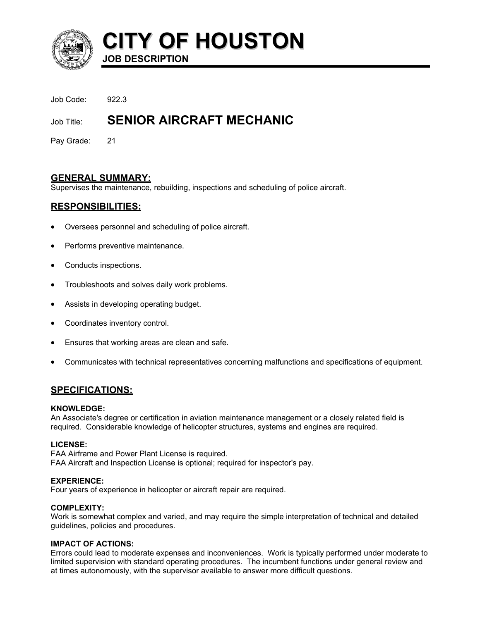

# **CITY OF HOUSTON JOB DESCRIPTION**

Job Code: 922.3

# **Job Title: SENIOR AIRCRAFT MECHANIC**

Pay Grade: 21

# **GENERAL SUMMARY:**

Supervises the maintenance, rebuilding, inspections and scheduling of police aircraft.

# **RESPONSIBILITIES:**

- Oversees personnel and scheduling of police aircraft.
- Performs preventive maintenance.
- Conducts inspections.
- Troubleshoots and solves daily work problems.
- Assists in developing operating budget.
- Coordinates inventory control.
- Ensures that working areas are clean and safe.
- Communicates with technical representatives concerning malfunctions and specifications of equipment.

# **SPECIFICATIONS:**

# **KNOWLEDGE:**

An Associate's degree or certification in aviation maintenance management or a closely related field is required. Considerable knowledge of helicopter structures, systems and engines are required.

# **LICENSE:**

FAA Airframe and Power Plant License is required. FAA Aircraft and Inspection License is optional; required for inspector's pay.

# **EXPERIENCE:**

Four years of experience in helicopter or aircraft repair are required.

# **COMPLEXITY:**

Work is somewhat complex and varied, and may require the simple interpretation of technical and detailed guidelines, policies and procedures.

# **IMPACT OF ACTIONS:**

Errors could lead to moderate expenses and inconveniences. Work is typically performed under moderate to limited supervision with standard operating procedures. The incumbent functions under general review and at times autonomously, with the supervisor available to answer more difficult questions.